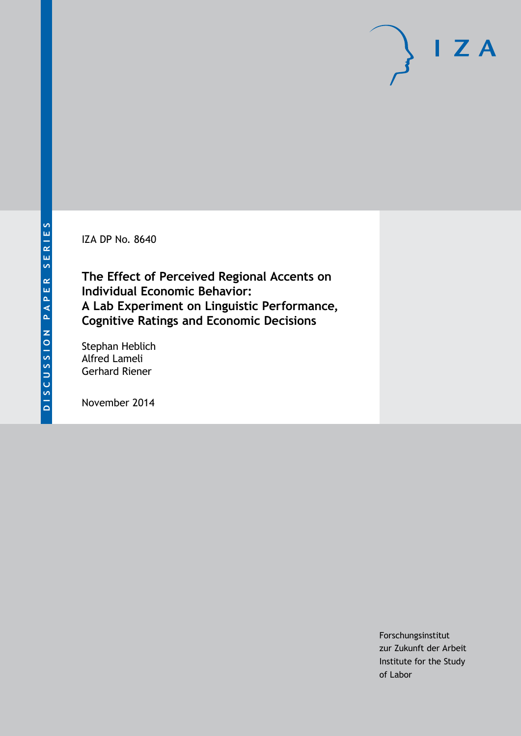IZA DP No. 8640

**The Effect of Perceived Regional Accents on Individual Economic Behavior: A Lab Experiment on Linguistic Performance, Cognitive Ratings and Economic Decisions**

Stephan Heblich Alfred Lameli Gerhard Riener

November 2014

Forschungsinstitut zur Zukunft der Arbeit Institute for the Study of Labor

 $I Z A$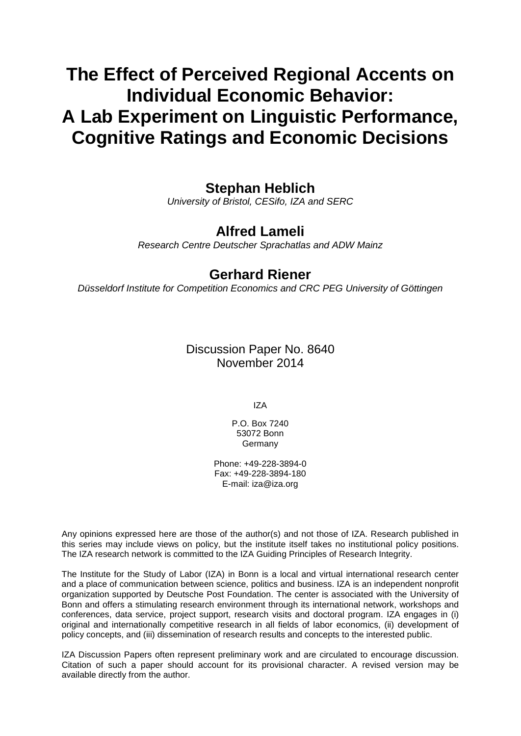# **The Effect of Perceived Regional Accents on Individual Economic Behavior: A Lab Experiment on Linguistic Performance, Cognitive Ratings and Economic Decisions**

# **Stephan Heblich**

*University of Bristol, CESifo, IZA and SERC*

## **Alfred Lameli**

*Research Centre Deutscher Sprachatlas and ADW Mainz*

## **Gerhard Riener**

*Düsseldorf Institute for Competition Economics and CRC PEG University of Göttingen*

Discussion Paper No. 8640 November 2014

IZA

P.O. Box 7240 53072 Bonn Germany

Phone: +49-228-3894-0 Fax: +49-228-3894-180 E-mail: [iza@iza.org](mailto:iza@iza.org)

Any opinions expressed here are those of the author(s) and not those of IZA. Research published in this series may include views on policy, but the institute itself takes no institutional policy positions. The IZA research network is committed to the IZA Guiding Principles of Research Integrity.

The Institute for the Study of Labor (IZA) in Bonn is a local and virtual international research center and a place of communication between science, politics and business. IZA is an independent nonprofit organization supported by Deutsche Post Foundation. The center is associated with the University of Bonn and offers a stimulating research environment through its international network, workshops and conferences, data service, project support, research visits and doctoral program. IZA engages in (i) original and internationally competitive research in all fields of labor economics, (ii) development of policy concepts, and (iii) dissemination of research results and concepts to the interested public.

IZA Discussion Papers often represent preliminary work and are circulated to encourage discussion. Citation of such a paper should account for its provisional character. A revised version may be available directly from the author.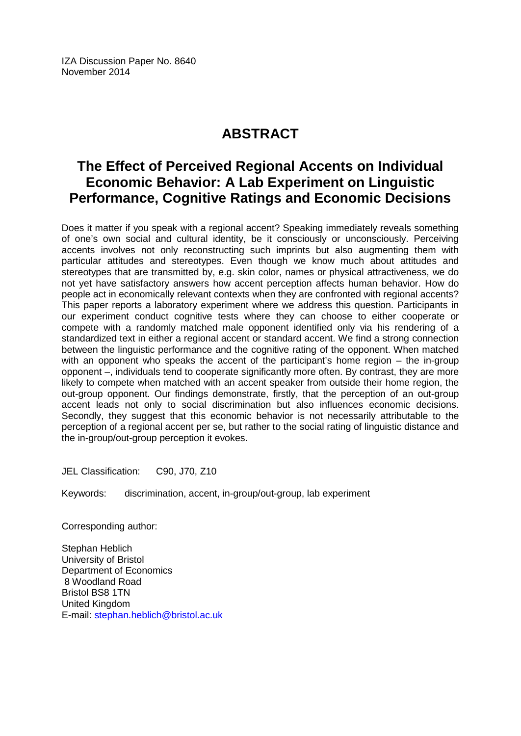IZA Discussion Paper No. 8640 November 2014

# **ABSTRACT**

# **The Effect of Perceived Regional Accents on Individual Economic Behavior: A Lab Experiment on Linguistic Performance, Cognitive Ratings and Economic Decisions**

Does it matter if you speak with a regional accent? Speaking immediately reveals something of one's own social and cultural identity, be it consciously or unconsciously. Perceiving accents involves not only reconstructing such imprints but also augmenting them with particular attitudes and stereotypes. Even though we know much about attitudes and stereotypes that are transmitted by, e.g. skin color, names or physical attractiveness, we do not yet have satisfactory answers how accent perception affects human behavior. How do people act in economically relevant contexts when they are confronted with regional accents? This paper reports a laboratory experiment where we address this question. Participants in our experiment conduct cognitive tests where they can choose to either cooperate or compete with a randomly matched male opponent identified only via his rendering of a standardized text in either a regional accent or standard accent. We find a strong connection between the linguistic performance and the cognitive rating of the opponent. When matched with an opponent who speaks the accent of the participant's home region – the in-group opponent –, individuals tend to cooperate significantly more often. By contrast, they are more likely to compete when matched with an accent speaker from outside their home region, the out-group opponent. Our findings demonstrate, firstly, that the perception of an out-group accent leads not only to social discrimination but also influences economic decisions. Secondly, they suggest that this economic behavior is not necessarily attributable to the perception of a regional accent per se, but rather to the social rating of linguistic distance and the in-group/out-group perception it evokes.

JEL Classification: C90, J70, Z10

Keywords: discrimination, accent, in-group/out-group, lab experiment

Corresponding author:

Stephan Heblich University of Bristol Department of Economics 8 Woodland Road Bristol BS8 1TN United Kingdom E-mail: [stephan.heblich@bristol.ac.uk](mailto:stephan.heblich@bristol.ac.uk)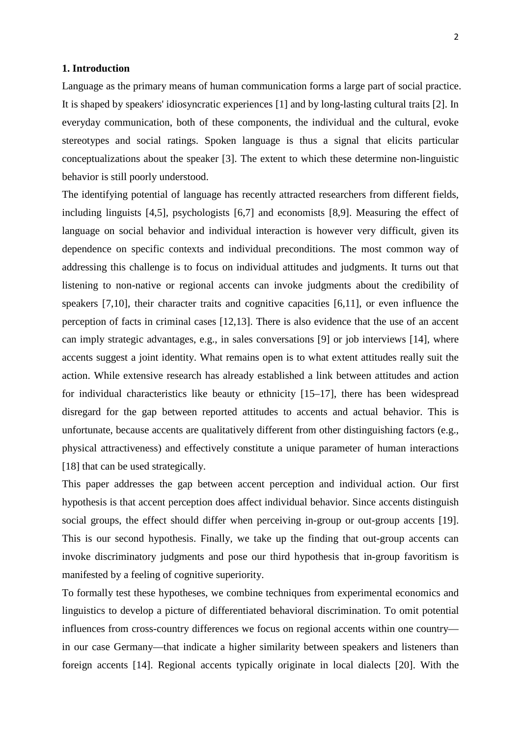#### **1. Introduction**

Language as the primary means of human communication forms a large part of social practice. It is shaped by speakers' idiosyncratic experiences [1] and by long-lasting cultural traits [2]. In everyday communication, both of these components, the individual and the cultural, evoke stereotypes and social ratings. Spoken language is thus a signal that elicits particular conceptualizations about the speaker [3]. The extent to which these determine non-linguistic behavior is still poorly understood.

The identifying potential of language has recently attracted researchers from different fields, including linguists [4,5], psychologists [6,7] and economists [8,9]. Measuring the effect of language on social behavior and individual interaction is however very difficult, given its dependence on specific contexts and individual preconditions. The most common way of addressing this challenge is to focus on individual attitudes and judgments. It turns out that listening to non-native or regional accents can invoke judgments about the credibility of speakers [7,10], their character traits and cognitive capacities [6,11], or even influence the perception of facts in criminal cases [12,13]. There is also evidence that the use of an accent can imply strategic advantages, e.g., in sales conversations [9] or job interviews [14], where accents suggest a joint identity. What remains open is to what extent attitudes really suit the action. While extensive research has already established a link between attitudes and action for individual characteristics like beauty or ethnicity [15–17], there has been widespread disregard for the gap between reported attitudes to accents and actual behavior. This is unfortunate, because accents are qualitatively different from other distinguishing factors (e.g., physical attractiveness) and effectively constitute a unique parameter of human interactions [18] that can be used strategically.

This paper addresses the gap between accent perception and individual action. Our first hypothesis is that accent perception does affect individual behavior. Since accents distinguish social groups, the effect should differ when perceiving in-group or out-group accents [19]. This is our second hypothesis. Finally, we take up the finding that out-group accents can invoke discriminatory judgments and pose our third hypothesis that in-group favoritism is manifested by a feeling of cognitive superiority.

To formally test these hypotheses, we combine techniques from experimental economics and linguistics to develop a picture of differentiated behavioral discrimination. To omit potential influences from cross-country differences we focus on regional accents within one country in our case Germany—that indicate a higher similarity between speakers and listeners than foreign accents [14]. Regional accents typically originate in local dialects [20]. With the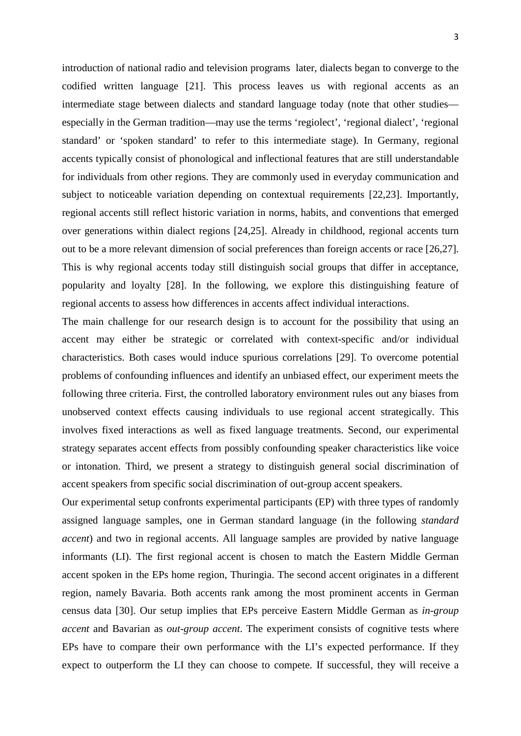introduction of national radio and television programs later, dialects began to converge to the codified written language [21]. This process leaves us with regional accents as an intermediate stage between dialects and standard language today (note that other studies especially in the German tradition—may use the terms 'regiolect', 'regional dialect', 'regional standard' or 'spoken standard' to refer to this intermediate stage). In Germany, regional accents typically consist of phonological and inflectional features that are still understandable for individuals from other regions. They are commonly used in everyday communication and subject to noticeable variation depending on contextual requirements [22,23]. Importantly, regional accents still reflect historic variation in norms, habits, and conventions that emerged over generations within dialect regions [24,25]. Already in childhood, regional accents turn out to be a more relevant dimension of social preferences than foreign accents or race [26,27]. This is why regional accents today still distinguish social groups that differ in acceptance, popularity and loyalty [28]. In the following, we explore this distinguishing feature of regional accents to assess how differences in accents affect individual interactions.

The main challenge for our research design is to account for the possibility that using an accent may either be strategic or correlated with context-specific and/or individual characteristics. Both cases would induce spurious correlations [29]. To overcome potential problems of confounding influences and identify an unbiased effect, our experiment meets the following three criteria. First, the controlled laboratory environment rules out any biases from unobserved context effects causing individuals to use regional accent strategically. This involves fixed interactions as well as fixed language treatments. Second, our experimental strategy separates accent effects from possibly confounding speaker characteristics like voice or intonation. Third, we present a strategy to distinguish general social discrimination of accent speakers from specific social discrimination of out-group accent speakers.

Our experimental setup confronts experimental participants (EP) with three types of randomly assigned language samples, one in German standard language (in the following *standard accent*) and two in regional accents. All language samples are provided by native language informants (LI). The first regional accent is chosen to match the Eastern Middle German accent spoken in the EPs home region, Thuringia. The second accent originates in a different region, namely Bavaria. Both accents rank among the most prominent accents in German census data [30]. Our setup implies that EPs perceive Eastern Middle German as *in-group accent* and Bavarian as *out-group accent*. The experiment consists of cognitive tests where EPs have to compare their own performance with the LI's expected performance. If they expect to outperform the LI they can choose to compete. If successful, they will receive a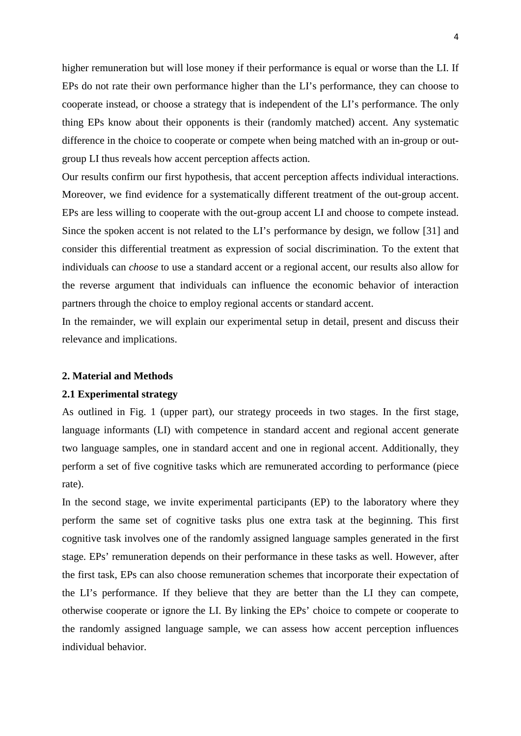higher remuneration but will lose money if their performance is equal or worse than the LI. If EPs do not rate their own performance higher than the LI's performance, they can choose to cooperate instead, or choose a strategy that is independent of the LI's performance. The only thing EPs know about their opponents is their (randomly matched) accent. Any systematic difference in the choice to cooperate or compete when being matched with an in-group or outgroup LI thus reveals how accent perception affects action.

Our results confirm our first hypothesis, that accent perception affects individual interactions. Moreover, we find evidence for a systematically different treatment of the out-group accent. EPs are less willing to cooperate with the out-group accent LI and choose to compete instead. Since the spoken accent is not related to the LI's performance by design, we follow [31] and consider this differential treatment as expression of social discrimination. To the extent that individuals can *choose* to use a standard accent or a regional accent, our results also allow for the reverse argument that individuals can influence the economic behavior of interaction partners through the choice to employ regional accents or standard accent.

In the remainder, we will explain our experimental setup in detail, present and discuss their relevance and implications.

#### **2. Material and Methods**

#### **2.1 Experimental strategy**

As outlined in Fig. 1 (upper part), our strategy proceeds in two stages. In the first stage, language informants (LI) with competence in standard accent and regional accent generate two language samples, one in standard accent and one in regional accent. Additionally, they perform a set of five cognitive tasks which are remunerated according to performance (piece rate).

In the second stage, we invite experimental participants (EP) to the laboratory where they perform the same set of cognitive tasks plus one extra task at the beginning. This first cognitive task involves one of the randomly assigned language samples generated in the first stage. EPs' remuneration depends on their performance in these tasks as well. However, after the first task, EPs can also choose remuneration schemes that incorporate their expectation of the LI's performance. If they believe that they are better than the LI they can compete, otherwise cooperate or ignore the LI. By linking the EPs' choice to compete or cooperate to the randomly assigned language sample, we can assess how accent perception influences individual behavior.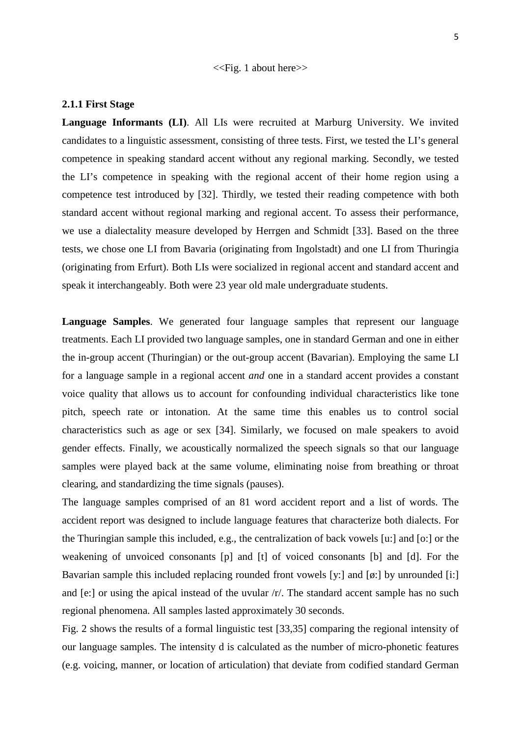<<Fig. 1 about here>>

#### **2.1.1 First Stage**

**Language Informants (LI)**. All LIs were recruited at Marburg University. We invited candidates to a linguistic assessment, consisting of three tests. First, we tested the LI's general competence in speaking standard accent without any regional marking. Secondly, we tested the LI's competence in speaking with the regional accent of their home region using a competence test introduced by [32]. Thirdly, we tested their reading competence with both standard accent without regional marking and regional accent. To assess their performance, we use a dialectality measure developed by Herrgen and Schmidt [33]. Based on the three tests, we chose one LI from Bavaria (originating from Ingolstadt) and one LI from Thuringia (originating from Erfurt). Both LIs were socialized in regional accent and standard accent and speak it interchangeably. Both were 23 year old male undergraduate students.

**Language Samples**. We generated four language samples that represent our language treatments. Each LI provided two language samples, one in standard German and one in either the in-group accent (Thuringian) or the out-group accent (Bavarian). Employing the same LI for a language sample in a regional accent *and* one in a standard accent provides a constant voice quality that allows us to account for confounding individual characteristics like tone pitch, speech rate or intonation. At the same time this enables us to control social characteristics such as age or sex [34]. Similarly, we focused on male speakers to avoid gender effects. Finally, we acoustically normalized the speech signals so that our language samples were played back at the same volume, eliminating noise from breathing or throat clearing, and standardizing the time signals (pauses).

The language samples comprised of an 81 word accident report and a list of words. The accident report was designed to include language features that characterize both dialects. For the Thuringian sample this included, e.g., the centralization of back vowels [u:] and [o:] or the weakening of unvoiced consonants [p] and [t] of voiced consonants [b] and [d]. For the Bavarian sample this included replacing rounded front vowels [y:] and [ø:] by unrounded [i:] and [e:] or using the apical instead of the uvular /r/. The standard accent sample has no such regional phenomena. All samples lasted approximately 30 seconds.

Fig. 2 shows the results of a formal linguistic test [33,35] comparing the regional intensity of our language samples. The intensity d is calculated as the number of micro-phonetic features (e.g. voicing, manner, or location of articulation) that deviate from codified standard German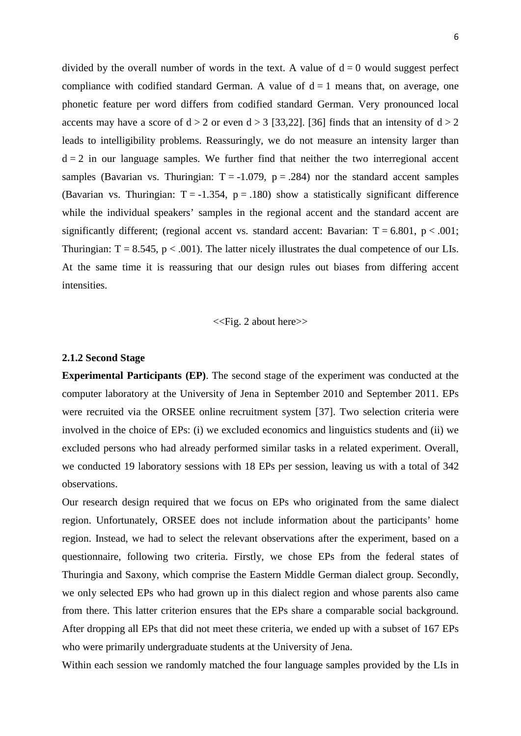divided by the overall number of words in the text. A value of  $d = 0$  would suggest perfect compliance with codified standard German. A value of  $d = 1$  means that, on average, one phonetic feature per word differs from codified standard German. Very pronounced local accents may have a score of  $d > 2$  or even  $d > 3$  [33,22]. [36] finds that an intensity of  $d > 2$ leads to intelligibility problems. Reassuringly, we do not measure an intensity larger than  $d = 2$  in our language samples. We further find that neither the two interregional accent samples (Bavarian vs. Thuringian:  $T = -1.079$ ,  $p = .284$ ) nor the standard accent samples (Bavarian vs. Thuringian:  $T = -1.354$ ,  $p = .180$ ) show a statistically significant difference while the individual speakers' samples in the regional accent and the standard accent are significantly different; (regional accent vs. standard accent: Bavarian:  $T = 6.801$ ,  $p < .001$ ; Thuringian:  $T = 8.545$ ,  $p < .001$ ). The latter nicely illustrates the dual competence of our LIs. At the same time it is reassuring that our design rules out biases from differing accent **intensities** 

#### <<Fig. 2 about here>>

#### **2.1.2 Second Stage**

**Experimental Participants (EP)**. The second stage of the experiment was conducted at the computer laboratory at the University of Jena in September 2010 and September 2011. EPs were recruited via the ORSEE online recruitment system [37]. Two selection criteria were involved in the choice of EPs: (i) we excluded economics and linguistics students and (ii) we excluded persons who had already performed similar tasks in a related experiment. Overall, we conducted 19 laboratory sessions with 18 EPs per session, leaving us with a total of 342 observations.

Our research design required that we focus on EPs who originated from the same dialect region. Unfortunately, ORSEE does not include information about the participants' home region. Instead, we had to select the relevant observations after the experiment, based on a questionnaire, following two criteria. Firstly, we chose EPs from the federal states of Thuringia and Saxony, which comprise the Eastern Middle German dialect group. Secondly, we only selected EPs who had grown up in this dialect region and whose parents also came from there. This latter criterion ensures that the EPs share a comparable social background. After dropping all EPs that did not meet these criteria, we ended up with a subset of 167 EPs who were primarily undergraduate students at the University of Jena.

Within each session we randomly matched the four language samples provided by the LIs in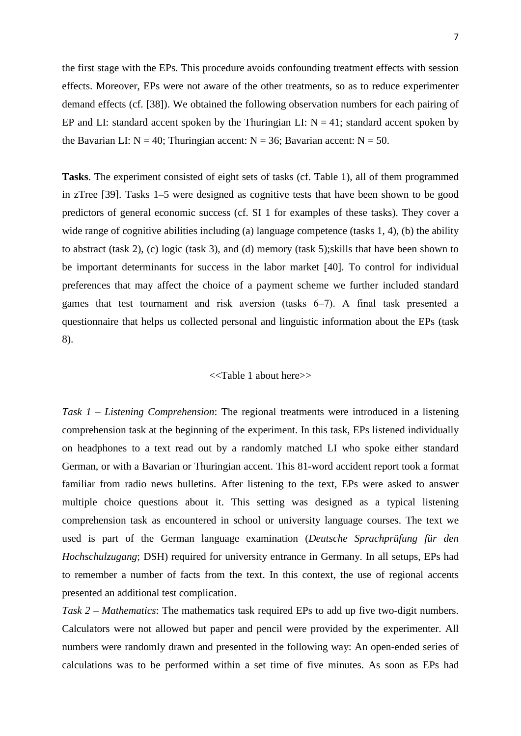the first stage with the EPs. This procedure avoids confounding treatment effects with session effects. Moreover, EPs were not aware of the other treatments, so as to reduce experimenter demand effects (cf. [38]). We obtained the following observation numbers for each pairing of EP and LI: standard accent spoken by the Thuringian LI:  $N = 41$ ; standard accent spoken by the Bavarian LI:  $N = 40$ ; Thuringian accent:  $N = 36$ ; Bavarian accent:  $N = 50$ .

**Tasks**. The experiment consisted of eight sets of tasks (cf. Table 1), all of them programmed in zTree [39]. Tasks 1–5 were designed as cognitive tests that have been shown to be good predictors of general economic success (cf. SI 1 for examples of these tasks). They cover a wide range of cognitive abilities including (a) language competence (tasks 1, 4), (b) the ability to abstract (task 2), (c) logic (task 3), and (d) memory (task 5);skills that have been shown to be important determinants for success in the labor market [40]. To control for individual preferences that may affect the choice of a payment scheme we further included standard games that test tournament and risk aversion (tasks 6‒7). A final task presented a questionnaire that helps us collected personal and linguistic information about the EPs (task 8).

#### <<Table 1 about here>>

*Task 1 – Listening Comprehension*: The regional treatments were introduced in a listening comprehension task at the beginning of the experiment. In this task, EPs listened individually on headphones to a text read out by a randomly matched LI who spoke either standard German, or with a Bavarian or Thuringian accent. This 81-word accident report took a format familiar from radio news bulletins. After listening to the text, EPs were asked to answer multiple choice questions about it. This setting was designed as a typical listening comprehension task as encountered in school or university language courses. The text we used is part of the German language examination (*Deutsche Sprachprüfung für den Hochschulzugang*; DSH) required for university entrance in Germany. In all setups, EPs had to remember a number of facts from the text. In this context, the use of regional accents presented an additional test complication.

*Task 2 – Mathematics*: The mathematics task required EPs to add up five two-digit numbers. Calculators were not allowed but paper and pencil were provided by the experimenter. All numbers were randomly drawn and presented in the following way: An open-ended series of calculations was to be performed within a set time of five minutes. As soon as EPs had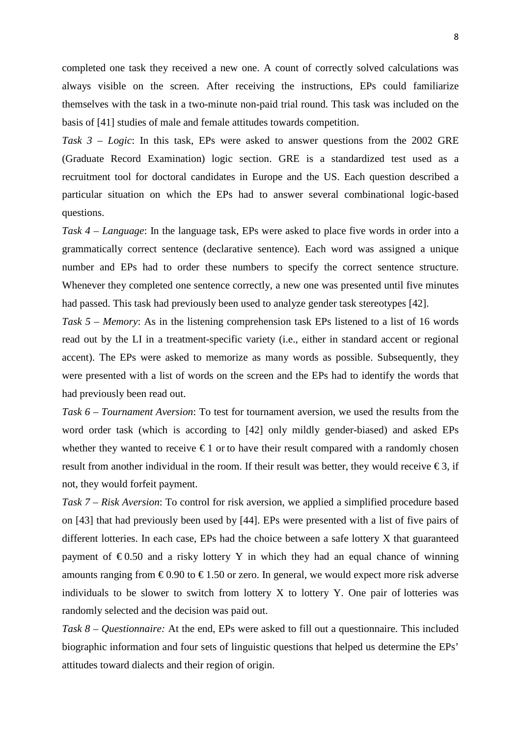completed one task they received a new one. A count of correctly solved calculations was always visible on the screen. After receiving the instructions, EPs could familiarize themselves with the task in a two-minute non-paid trial round. This task was included on the basis of [41] studies of male and female attitudes towards competition.

*Task 3 – Logic*: In this task, EPs were asked to answer questions from the 2002 GRE (Graduate Record Examination) logic section. GRE is a standardized test used as a recruitment tool for doctoral candidates in Europe and the US. Each question described a particular situation on which the EPs had to answer several combinational logic-based questions.

*Task 4 – Language*: In the language task, EPs were asked to place five words in order into a grammatically correct sentence (declarative sentence). Each word was assigned a unique number and EPs had to order these numbers to specify the correct sentence structure. Whenever they completed one sentence correctly, a new one was presented until five minutes had passed. This task had previously been used to analyze gender task stereotypes [42].

*Task 5 – Memory*: As in the listening comprehension task EPs listened to a list of 16 words read out by the LI in a treatment-specific variety (i.e., either in standard accent or regional accent). The EPs were asked to memorize as many words as possible. Subsequently, they were presented with a list of words on the screen and the EPs had to identify the words that had previously been read out.

*Task 6 – Tournament Aversion*: To test for tournament aversion, we used the results from the word order task (which is according to [42] only mildly gender-biased) and asked EPs whether they wanted to receive  $\epsilon$ 1 or to have their result compared with a randomly chosen result from another individual in the room. If their result was better, they would receive  $\epsilon$ 3, if not, they would forfeit payment.

*Task 7 – Risk Aversion*: To control for risk aversion, we applied a simplified procedure based on [43] that had previously been used by [44]. EPs were presented with a list of five pairs of different lotteries. In each case, EPs had the choice between a safe lottery X that guaranteed payment of  $\epsilon$ 0.50 and a risky lottery Y in which they had an equal chance of winning amounts ranging from  $\epsilon 0.90$  to  $\epsilon 1.50$  or zero. In general, we would expect more risk adverse individuals to be slower to switch from lottery X to lottery Y. One pair of lotteries was randomly selected and the decision was paid out.

*Task 8 – Questionnaire:* At the end, EPs were asked to fill out a questionnaire. This included biographic information and four sets of linguistic questions that helped us determine the EPs' attitudes toward dialects and their region of origin.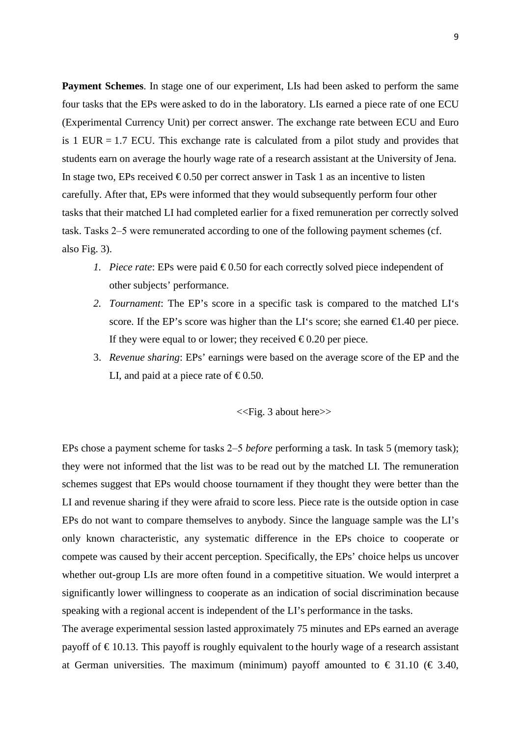**Payment Schemes**. In stage one of our experiment, LIs had been asked to perform the same four tasks that the EPs were asked to do in the laboratory. LIs earned a piece rate of one ECU (Experimental Currency Unit) per correct answer. The exchange rate between ECU and Euro is 1 EUR  $= 1.7$  ECU. This exchange rate is calculated from a pilot study and provides that students earn on average the hourly wage rate of a research assistant at the University of Jena. In stage two, EPs received  $\epsilon$ 0.50 per correct answer in Task 1 as an incentive to listen carefully. After that, EPs were informed that they would subsequently perform four other tasks that their matched LI had completed earlier for a fixed remuneration per correctly solved task. Tasks 2‒5 were remunerated according to one of the following payment schemes (cf. also Fig. 3).

- *1. Piece rate:* EPs were paid  $\epsilon$ 0.50 for each correctly solved piece independent of other subjects' performance.
- *2. Tournament*: The EP's score in a specific task is compared to the matched LI's score. If the EP's score was higher than the LI's score; she earned  $\bigoplus$  40 per piece. If they were equal to or lower; they received  $\epsilon 0.20$  per piece.
- 3. *Revenue sharing*: EPs' earnings were based on the average score of the EP and the LI, and paid at a piece rate of  $\epsilon 0.50$ .

<<Fig. 3 about here>>

EPs chose a payment scheme for tasks 2‒5 *before* performing a task. In task 5 (memory task); they were not informed that the list was to be read out by the matched LI. The remuneration schemes suggest that EPs would choose tournament if they thought they were better than the LI and revenue sharing if they were afraid to score less. Piece rate is the outside option in case EPs do not want to compare themselves to anybody. Since the language sample was the LI's only known characteristic, any systematic difference in the EPs choice to cooperate or compete was caused by their accent perception. Specifically, the EPs' choice helps us uncover whether out-group LIs are more often found in a competitive situation. We would interpret a significantly lower willingness to cooperate as an indication of social discrimination because speaking with a regional accent is independent of the LI's performance in the tasks.

The average experimental session lasted approximately 75 minutes and EPs earned an average payoff of  $\in$  10.13. This payoff is roughly equivalent to the hourly wage of a research assistant at German universities. The maximum (minimum) payoff amounted to  $\epsilon$  31.10 ( $\epsilon$  3.40,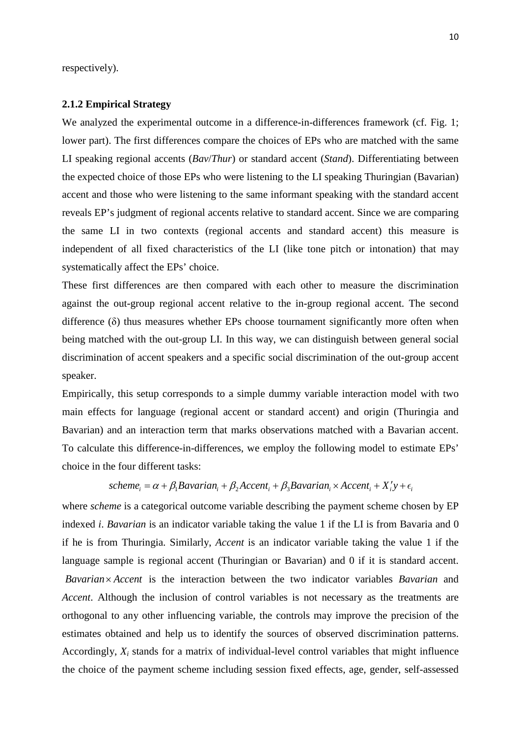respectively).

#### **2.1.2 Empirical Strategy**

We analyzed the experimental outcome in a difference-in-differences framework (cf. Fig. 1; lower part). The first differences compare the choices of EPs who are matched with the same LI speaking regional accents (*Bav*/*Thur*) or standard accent (*Stand*). Differentiating between the expected choice of those EPs who were listening to the LI speaking Thuringian (Bavarian) accent and those who were listening to the same informant speaking with the standard accent reveals EP's judgment of regional accents relative to standard accent. Since we are comparing the same LI in two contexts (regional accents and standard accent) this measure is independent of all fixed characteristics of the LI (like tone pitch or intonation) that may systematically affect the EPs' choice.

These first differences are then compared with each other to measure the discrimination against the out-group regional accent relative to the in-group regional accent. The second difference (δ) thus measures whether EPs choose tournament significantly more often when being matched with the out-group LI. In this way, we can distinguish between general social discrimination of accent speakers and a specific social discrimination of the out-group accent speaker.

Empirically, this setup corresponds to a simple dummy variable interaction model with two main effects for language (regional accent or standard accent) and origin (Thuringia and Bavarian) and an interaction term that marks observations matched with a Bavarian accent. To calculate this difference-in-differences, we employ the following model to estimate EPs' choice in the four different tasks:

# $scheme_i = \alpha + \beta_1 Bavarian_i + \beta_2Accent_i + \beta_3 Bavarian_i \times Accent_i + X_i'y + \epsilon_i$

where *scheme* is a categorical outcome variable describing the payment scheme chosen by EP indexed *i*. *Bavarian* is an indicator variable taking the value 1 if the LI is from Bavaria and 0 if he is from Thuringia. Similarly, *Accent* is an indicator variable taking the value 1 if the language sample is regional accent (Thuringian or Bavarian) and 0 if it is standard accent. Bavarian × Accent is the interaction between the two indicator variables *Bavarian* and *Accent*. Although the inclusion of control variables is not necessary as the treatments are orthogonal to any other influencing variable, the controls may improve the precision of the estimates obtained and help us to identify the sources of observed discrimination patterns. Accordingly, *Xi* stands for a matrix of individual-level control variables that might influence the choice of the payment scheme including session fixed effects, age, gender, self-assessed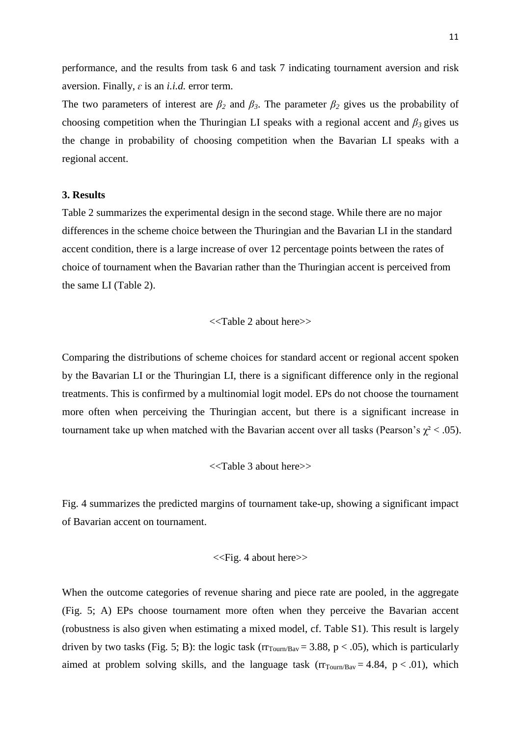performance, and the results from task 6 and task 7 indicating tournament aversion and risk aversion. Finally, *ɛ* is an *i.i.d.* error term.

The two parameters of interest are  $\beta_2$  and  $\beta_3$ . The parameter  $\beta_2$  gives us the probability of choosing competition when the Thuringian LI speaks with a regional accent and *β3* gives us the change in probability of choosing competition when the Bavarian LI speaks with a regional accent.

#### **3. Results**

Table 2 summarizes the experimental design in the second stage. While there are no major differences in the scheme choice between the Thuringian and the Bavarian LI in the standard accent condition, there is a large increase of over 12 percentage points between the rates of choice of tournament when the Bavarian rather than the Thuringian accent is perceived from the same LI (Table 2).

#### <<Table 2 about here>>

Comparing the distributions of scheme choices for standard accent or regional accent spoken by the Bavarian LI or the Thuringian LI, there is a significant difference only in the regional treatments. This is confirmed by a multinomial logit model. EPs do not choose the tournament more often when perceiving the Thuringian accent, but there is a significant increase in tournament take up when matched with the Bavarian accent over all tasks (Pearson's  $\chi^2$  < .05).

<<Table 3 about here>>

Fig. 4 summarizes the predicted margins of tournament take-up, showing a significant impact of Bavarian accent on tournament.

<<Fig. 4 about here>>

When the outcome categories of revenue sharing and piece rate are pooled, in the aggregate (Fig. 5; A) EPs choose tournament more often when they perceive the Bavarian accent (robustness is also given when estimating a mixed model, cf. Table S1). This result is largely driven by two tasks (Fig. 5; B): the logic task ( $rr_{\text{Tour/Bav}} = 3.88$ ,  $p < .05$ ), which is particularly aimed at problem solving skills, and the language task  $(r_{Tourn/Bav} = 4.84, p < .01)$ , which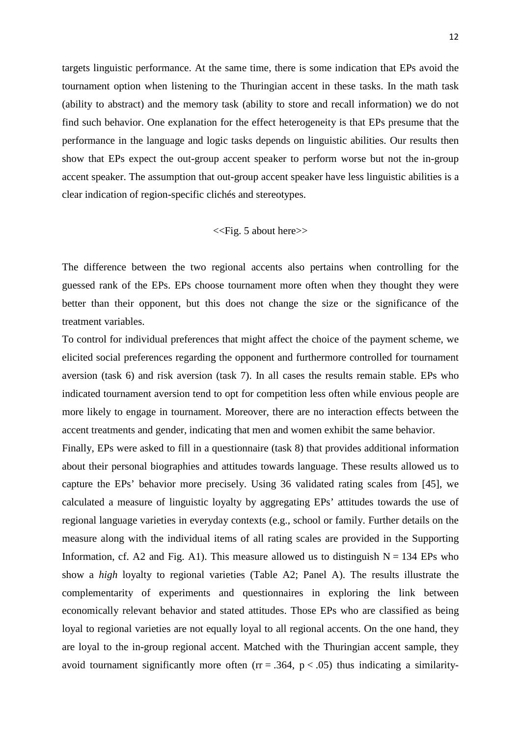targets linguistic performance. At the same time, there is some indication that EPs avoid the tournament option when listening to the Thuringian accent in these tasks. In the math task (ability to abstract) and the memory task (ability to store and recall information) we do not find such behavior. One explanation for the effect heterogeneity is that EPs presume that the performance in the language and logic tasks depends on linguistic abilities. Our results then show that EPs expect the out-group accent speaker to perform worse but not the in-group accent speaker. The assumption that out-group accent speaker have less linguistic abilities is a clear indication of region-specific clichés and stereotypes.

#### <<Fig. 5 about here>>

The difference between the two regional accents also pertains when controlling for the guessed rank of the EPs. EPs choose tournament more often when they thought they were better than their opponent, but this does not change the size or the significance of the treatment variables.

To control for individual preferences that might affect the choice of the payment scheme, we elicited social preferences regarding the opponent and furthermore controlled for tournament aversion (task 6) and risk aversion (task 7). In all cases the results remain stable. EPs who indicated tournament aversion tend to opt for competition less often while envious people are more likely to engage in tournament. Moreover, there are no interaction effects between the accent treatments and gender, indicating that men and women exhibit the same behavior.

Finally, EPs were asked to fill in a questionnaire (task 8) that provides additional information about their personal biographies and attitudes towards language. These results allowed us to capture the EPs' behavior more precisely. Using 36 validated rating scales from [45], we calculated a measure of linguistic loyalty by aggregating EPs' attitudes towards the use of regional language varieties in everyday contexts (e.g., school or family. Further details on the measure along with the individual items of all rating scales are provided in the Supporting Information, cf. A2 and Fig. A1). This measure allowed us to distinguish  $N = 134$  EPs who show a *high* loyalty to regional varieties (Table A2; Panel A). The results illustrate the complementarity of experiments and questionnaires in exploring the link between economically relevant behavior and stated attitudes. Those EPs who are classified as being loyal to regional varieties are not equally loyal to all regional accents. On the one hand, they are loyal to the in-group regional accent. Matched with the Thuringian accent sample, they avoid tournament significantly more often ( $rr = .364$ ,  $p < .05$ ) thus indicating a similarity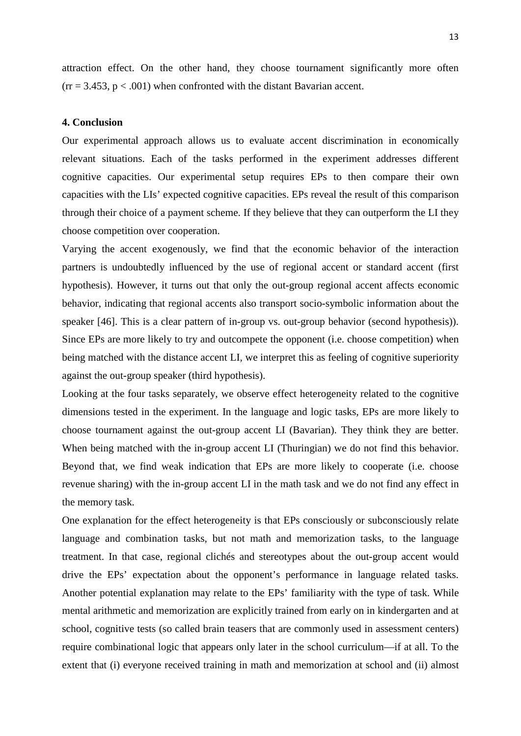attraction effect. On the other hand, they choose tournament significantly more often  $(r = 3.453, p < .001)$  when confronted with the distant Bavarian accent.

#### **4. Conclusion**

Our experimental approach allows us to evaluate accent discrimination in economically relevant situations. Each of the tasks performed in the experiment addresses different cognitive capacities. Our experimental setup requires EPs to then compare their own capacities with the LIs' expected cognitive capacities. EPs reveal the result of this comparison through their choice of a payment scheme. If they believe that they can outperform the LI they choose competition over cooperation.

Varying the accent exogenously, we find that the economic behavior of the interaction partners is undoubtedly influenced by the use of regional accent or standard accent (first hypothesis). However, it turns out that only the out-group regional accent affects economic behavior, indicating that regional accents also transport socio-symbolic information about the speaker [46]. This is a clear pattern of in-group vs. out-group behavior (second hypothesis)). Since EPs are more likely to try and outcompete the opponent (i.e. choose competition) when being matched with the distance accent LI, we interpret this as feeling of cognitive superiority against the out-group speaker (third hypothesis).

Looking at the four tasks separately, we observe effect heterogeneity related to the cognitive dimensions tested in the experiment. In the language and logic tasks, EPs are more likely to choose tournament against the out-group accent LI (Bavarian). They think they are better. When being matched with the in-group accent LI (Thuringian) we do not find this behavior. Beyond that, we find weak indication that EPs are more likely to cooperate (i.e. choose revenue sharing) with the in-group accent LI in the math task and we do not find any effect in the memory task.

One explanation for the effect heterogeneity is that EPs consciously or subconsciously relate language and combination tasks, but not math and memorization tasks, to the language treatment. In that case, regional clichés and stereotypes about the out-group accent would drive the EPs' expectation about the opponent's performance in language related tasks. Another potential explanation may relate to the EPs' familiarity with the type of task. While mental arithmetic and memorization are explicitly trained from early on in kindergarten and at school, cognitive tests (so called brain teasers that are commonly used in assessment centers) require combinational logic that appears only later in the school curriculum—if at all. To the extent that (i) everyone received training in math and memorization at school and (ii) almost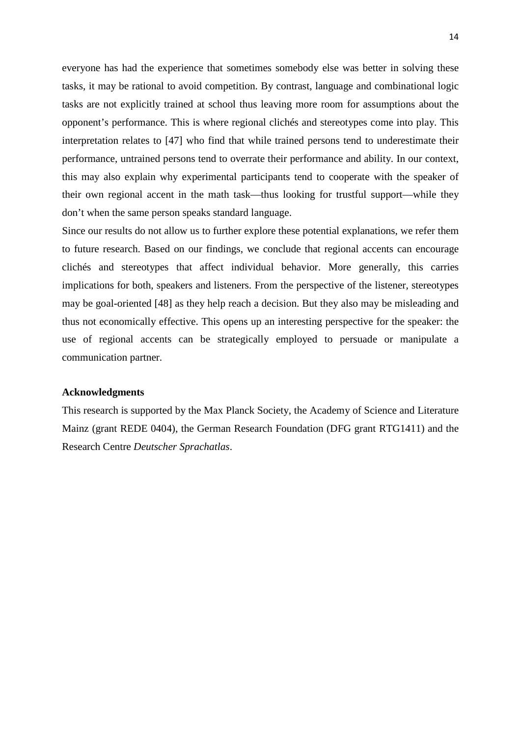everyone has had the experience that sometimes somebody else was better in solving these tasks, it may be rational to avoid competition. By contrast, language and combinational logic tasks are not explicitly trained at school thus leaving more room for assumptions about the opponent's performance. This is where regional clichés and stereotypes come into play. This interpretation relates to [47] who find that while trained persons tend to underestimate their performance, untrained persons tend to overrate their performance and ability. In our context, this may also explain why experimental participants tend to cooperate with the speaker of their own regional accent in the math task—thus looking for trustful support—while they don't when the same person speaks standard language.

Since our results do not allow us to further explore these potential explanations, we refer them to future research. Based on our findings, we conclude that regional accents can encourage clichés and stereotypes that affect individual behavior. More generally, this carries implications for both, speakers and listeners. From the perspective of the listener, stereotypes may be goal-oriented [48] as they help reach a decision. But they also may be misleading and thus not economically effective. This opens up an interesting perspective for the speaker: the use of regional accents can be strategically employed to persuade or manipulate a communication partner.

#### **Acknowledgments**

This research is supported by the Max Planck Society, the Academy of Science and Literature Mainz (grant REDE 0404), the German Research Foundation (DFG grant RTG1411) and the Research Centre *Deutscher Sprachatlas*.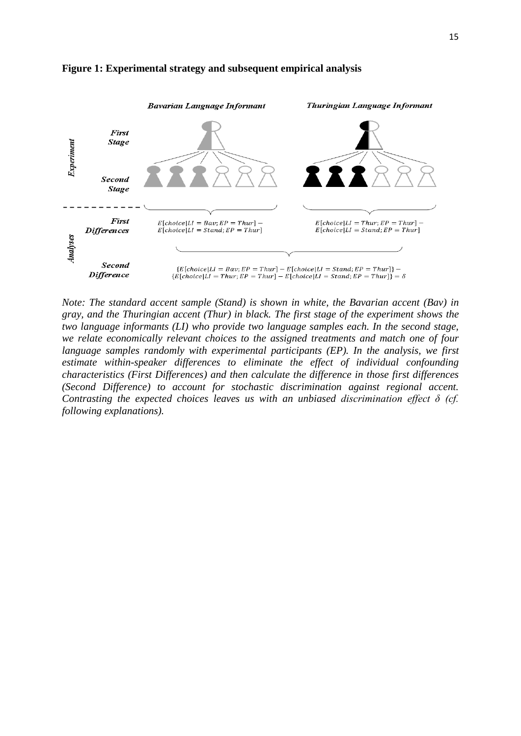

#### **Figure 1: Experimental strategy and subsequent empirical analysis**

*Note: The standard accent sample (Stand) is shown in white, the Bavarian accent (Bav) in gray, and the Thuringian accent (Thur) in black. The first stage of the experiment shows the two language informants (LI) who provide two language samples each. In the second stage, we relate economically relevant choices to the assigned treatments and match one of four language samples randomly with experimental participants (EP). In the analysis, we first estimate within-speaker differences to eliminate the effect of individual confounding characteristics (First Differences) and then calculate the difference in those first differences (Second Difference) to account for stochastic discrimination against regional accent. Contrasting the expected choices leaves us with an unbiased discrimination effect δ (cf. following explanations).*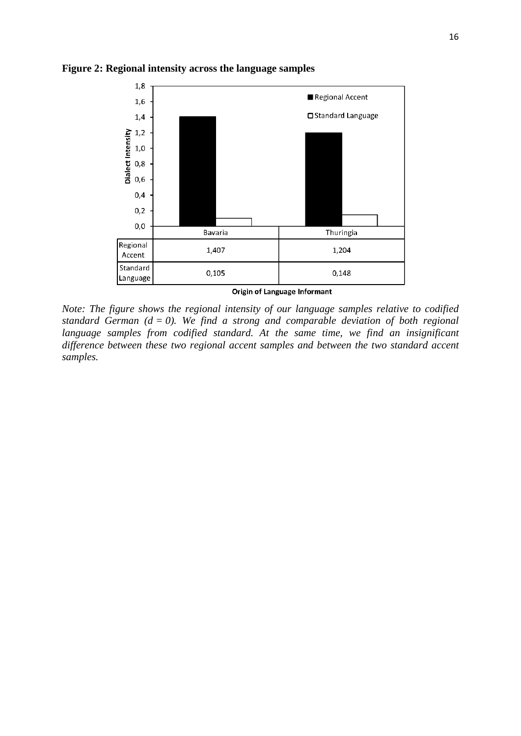

**Figure 2: Regional intensity across the language samples**

*Note: The figure shows the regional intensity of our language samples relative to codified standard German (* $d = 0$ *). We find a strong and comparable deviation of both regional* language samples from codified standard. At the same time, we find an insignificant *difference between these two regional accent samples and between the two standard accent samples.*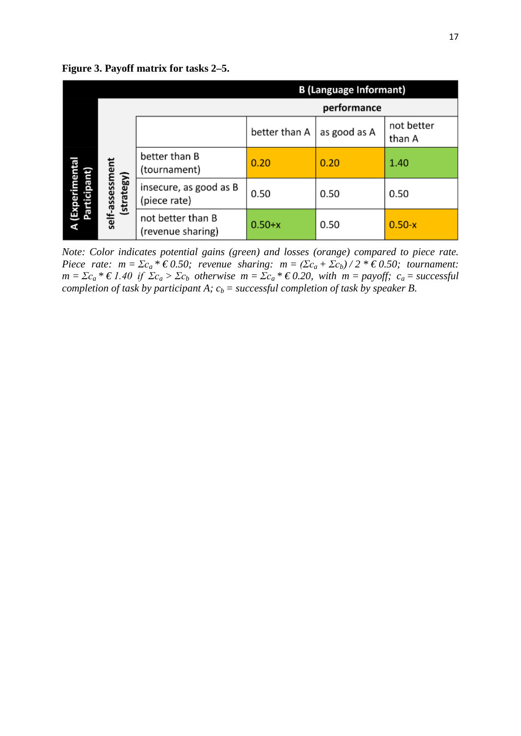|                               | <b>B</b> (Language Informant) |                                        |               |              |                      |  |  |  |
|-------------------------------|-------------------------------|----------------------------------------|---------------|--------------|----------------------|--|--|--|
|                               | performance                   |                                        |               |              |                      |  |  |  |
|                               |                               |                                        | better than A | as good as A | not better<br>than A |  |  |  |
| (Experimental<br>Participant) |                               | better than B<br>(tournament)          | 0.20          | 0.20         | 1.40                 |  |  |  |
|                               | self-assessment<br>(strategy) | insecure, as good as B<br>(piece rate) | 0.50          | 0.50         | 0.50                 |  |  |  |
|                               |                               | not better than B<br>(revenue sharing) | $0.50+x$      | 0.50         | $0.50-x$             |  |  |  |

**Figure 3. Payoff matrix for tasks 2–5.**

*Note: Color indicates potential gains (green) and losses (orange) compared to piece rate. Piece rate:*  $m = \Sigma c_a * \epsilon 0.50$ ; revenue sharing:  $m = (\Sigma c_a + \Sigma c_b)/2 * \epsilon 0.50$ ; tournament:  $m = \Sigma c_a * \epsilon 1.40$  if  $\Sigma c_a > \Sigma c_b$  otherwise  $m = \Sigma c_a * \epsilon 0.20$ , with  $m = pay$ off;  $c_a = successful$ *completion of task by participant A;*  $c_b$  *= successful completion of task by speaker B.*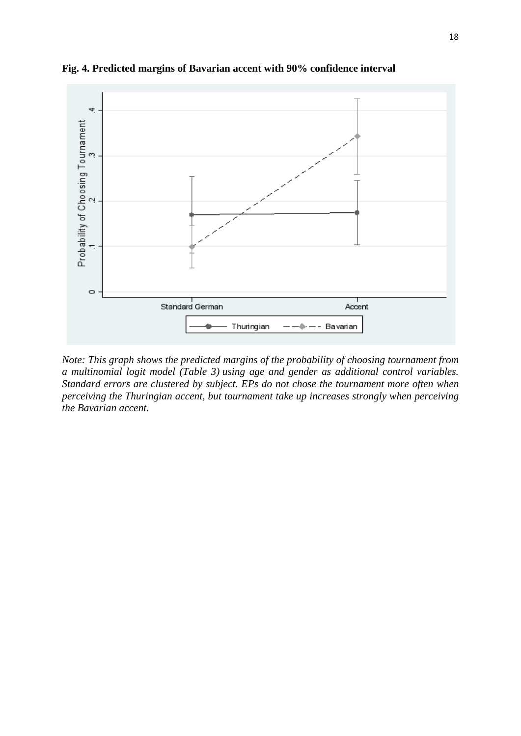

**Fig. 4. Predicted margins of Bavarian accent with 90% confidence interval**

*Note: This graph shows the predicted margins of the probability of choosing tournament from a multinomial logit model (Table 3) using age and gender as additional control variables. Standard errors are clustered by subject. EPs do not chose the tournament more often when perceiving the Thuringian accent, but tournament take up increases strongly when perceiving the Bavarian accent.*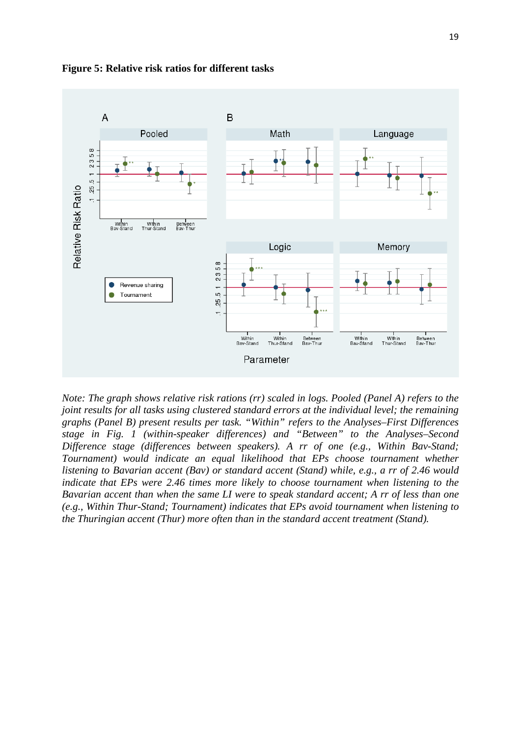

**Figure 5: Relative risk ratios for different tasks**

*Note: The graph shows relative risk rations (rr) scaled in logs. Pooled (Panel A) refers to the joint results for all tasks using clustered standard errors at the individual level; the remaining graphs (Panel B) present results per task. "Within" refers to the Analyses–First Differences stage in Fig. 1 (within-speaker differences) and "Between" to the Analyses–Second Difference stage (differences between speakers). A rr of one (e.g., Within Bav-Stand; Tournament) would indicate an equal likelihood that EPs choose tournament whether listening to Bavarian accent (Bav) or standard accent (Stand) while, e.g., a rr of 2.46 would indicate that EPs were 2.46 times more likely to choose tournament when listening to the Bavarian accent than when the same LI were to speak standard accent; A rr of less than one (e.g., Within Thur-Stand; Tournament) indicates that EPs avoid tournament when listening to the Thuringian accent (Thur) more often than in the standard accent treatment (Stand).*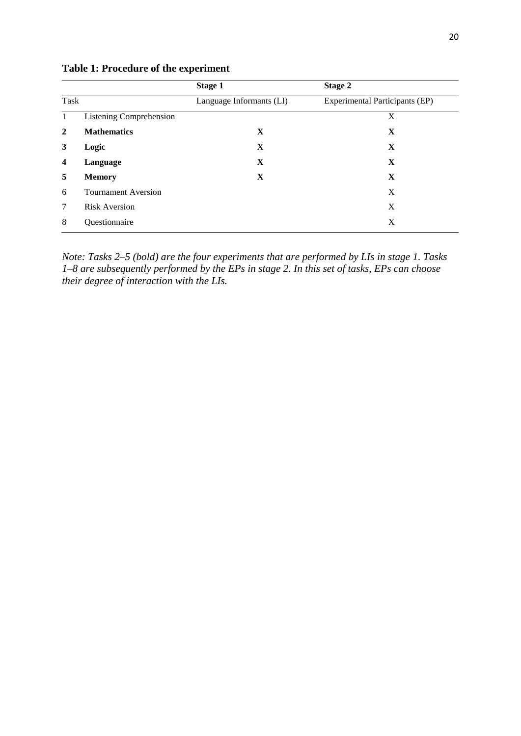|                         |                                | <b>Stage 1</b>           | Stage 2                               |
|-------------------------|--------------------------------|--------------------------|---------------------------------------|
| Task                    |                                | Language Informants (LI) | <b>Experimental Participants (EP)</b> |
|                         | <b>Listening Comprehension</b> |                          | X                                     |
| 2                       | <b>Mathematics</b>             | X                        | X                                     |
| 3                       | Logic                          | X                        | X                                     |
| $\overline{\mathbf{4}}$ | Language                       | X                        | X                                     |
| 5                       | <b>Memory</b>                  | X                        | X                                     |
| 6                       | <b>Tournament Aversion</b>     |                          | X                                     |
| 7                       | <b>Risk Aversion</b>           |                          | X                                     |
| 8                       | Questionnaire                  |                          | X                                     |

**Table 1: Procedure of the experiment**

*Note: Tasks 2–5 (bold) are the four experiments that are performed by LIs in stage 1. Tasks 1–8 are subsequently performed by the EPs in stage 2. In this set of tasks, EPs can choose their degree of interaction with the LIs.*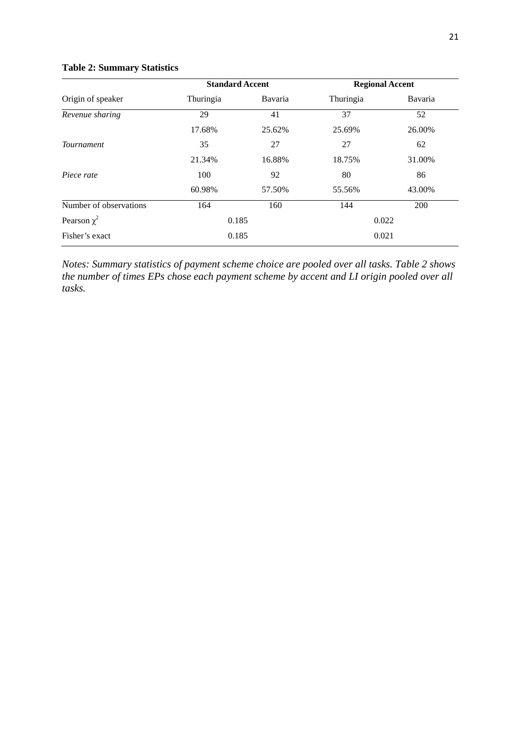### **Table 2: Summary Statistics**

|                        | <b>Standard Accent</b> |         | <b>Regional Accent</b> |         |  |
|------------------------|------------------------|---------|------------------------|---------|--|
| Origin of speaker      | Thuringia              | Bavaria | Thuringia              | Bavaria |  |
| Revenue sharing        | 29                     | 41      | 37                     | 52      |  |
|                        | 17.68%                 | 25.62%  | 25.69%                 | 26.00%  |  |
| <b>Tournament</b>      | 35                     | 27      | 27                     | 62      |  |
|                        | 21.34%                 | 16.88%  | 18.75%                 | 31.00%  |  |
| Piece rate             | 100                    | 92      | 80                     | 86      |  |
|                        | 60.98%                 | 57.50%  | 55.56%                 | 43.00%  |  |
| Number of observations | 164                    | 160     | 144                    | 200     |  |
| Pearson $\chi^2$       | 0.185                  |         | 0.022                  |         |  |
| Fisher's exact         | 0.185                  |         | 0.021                  |         |  |

*Notes: Summary statistics of payment scheme choice are pooled over all tasks. Table 2 shows the number of times EPs chose each payment scheme by accent and LI origin pooled over all tasks.*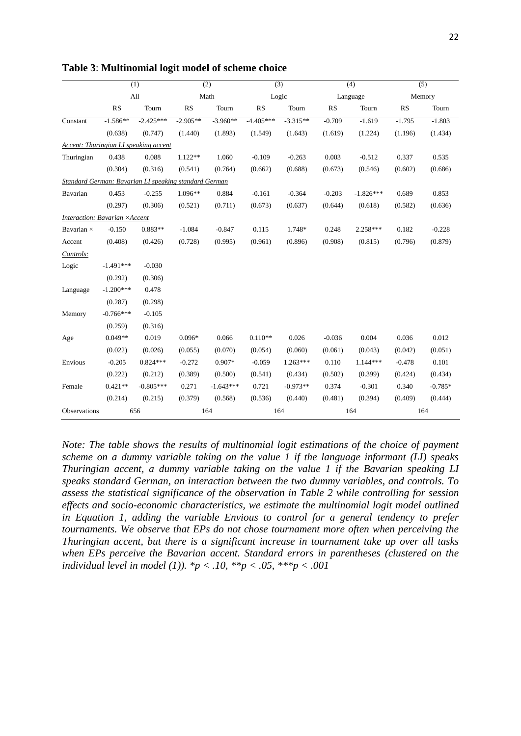|                                                       | (1)         |             | (2)        |             | (3)         |            | (4)       |             | (5)       |           |
|-------------------------------------------------------|-------------|-------------|------------|-------------|-------------|------------|-----------|-------------|-----------|-----------|
|                                                       |             | All         | Math       |             |             | Logic      |           | Language    |           | Memory    |
|                                                       | <b>RS</b>   | Tourn       | <b>RS</b>  | Tourn       | RS          | Tourn      | <b>RS</b> | Tourn       | <b>RS</b> | Tourn     |
| Constant                                              | $-1.586**$  | $-2.425***$ | $-2.905**$ | $-3.960**$  | $-4.405***$ | $-3.315**$ | $-0.709$  | $-1.619$    | $-1.795$  | $-1.803$  |
|                                                       | (0.638)     | (0.747)     | (1.440)    | (1.893)     | (1.549)     | (1.643)    | (1.619)   | (1.224)     | (1.196)   | (1.434)   |
| Accent: Thuringian LI speaking accent                 |             |             |            |             |             |            |           |             |           |           |
| Thuringian                                            | 0.438       | 0.088       | $1.122**$  | 1.060       | $-0.109$    | $-0.263$   | 0.003     | $-0.512$    | 0.337     | 0.535     |
|                                                       | (0.304)     | (0.316)     | (0.541)    | (0.764)     | (0.662)     | (0.688)    | (0.673)   | (0.546)     | (0.602)   | (0.686)   |
| Standard German: Bavarian LI speaking standard German |             |             |            |             |             |            |           |             |           |           |
| Bavarian                                              | 0.453       | $-0.255$    | $1.096**$  | 0.884       | $-0.161$    | $-0.364$   | $-0.203$  | $-1.826***$ | 0.689     | 0.853     |
|                                                       | (0.297)     | (0.306)     | (0.521)    | (0.711)     | (0.673)     | (0.637)    | (0.644)   | (0.618)     | (0.582)   | (0.636)   |
| Interaction: Bavarian ×Accent                         |             |             |            |             |             |            |           |             |           |           |
| Bavarian $\times$                                     | $-0.150$    | $0.883**$   | $-1.084$   | $-0.847$    | 0.115       | 1.748*     | 0.248     | $2.258***$  | 0.182     | $-0.228$  |
| Accent                                                | (0.408)     | (0.426)     | (0.728)    | (0.995)     | (0.961)     | (0.896)    | (0.908)   | (0.815)     | (0.796)   | (0.879)   |
| Controls:                                             |             |             |            |             |             |            |           |             |           |           |
| Logic                                                 | $-1.491***$ | $-0.030$    |            |             |             |            |           |             |           |           |
|                                                       | (0.292)     | (0.306)     |            |             |             |            |           |             |           |           |
| Language                                              | $-1.200***$ | 0.478       |            |             |             |            |           |             |           |           |
|                                                       | (0.287)     | (0.298)     |            |             |             |            |           |             |           |           |
| Memory                                                | $-0.766***$ | $-0.105$    |            |             |             |            |           |             |           |           |
|                                                       | (0.259)     | (0.316)     |            |             |             |            |           |             |           |           |
| Age                                                   | $0.049**$   | 0.019       | $0.096*$   | 0.066       | $0.110**$   | 0.026      | $-0.036$  | 0.004       | 0.036     | 0.012     |
|                                                       | (0.022)     | (0.026)     | (0.055)    | (0.070)     | (0.054)     | (0.060)    | (0.061)   | (0.043)     | (0.042)   | (0.051)   |
| Envious                                               | $-0.205$    | $0.824***$  | $-0.272$   | $0.907*$    | $-0.059$    | $1.263***$ | 0.110     | $1.144***$  | $-0.478$  | 0.101     |
|                                                       | (0.222)     | (0.212)     | (0.389)    | (0.500)     | (0.541)     | (0.434)    | (0.502)   | (0.399)     | (0.424)   | (0.434)   |
| Female                                                | $0.421**$   | $-0.805***$ | 0.271      | $-1.643***$ | 0.721       | $-0.973**$ | 0.374     | $-0.301$    | 0.340     | $-0.785*$ |
|                                                       | (0.214)     | (0.215)     | (0.379)    | (0.568)     | (0.536)     | (0.440)    | (0.481)   | (0.394)     | (0.409)   | (0.444)   |
| Observations                                          |             | 656         |            | 164         | 164         |            |           | 164         |           | 164       |

**Table 3**: **Multinomial logit model of scheme choice**

*Note: The table shows the results of multinomial logit estimations of the choice of payment scheme on a dummy variable taking on the value 1 if the language informant (LI) speaks Thuringian accent, a dummy variable taking on the value 1 if the Bavarian speaking LI speaks standard German, an interaction between the two dummy variables, and controls. To assess the statistical significance of the observation in Table 2 while controlling for session effects and socio-economic characteristics, we estimate the multinomial logit model outlined in Equation 1, adding the variable Envious to control for a general tendency to prefer tournaments. We observe that EPs do not chose tournament more often when perceiving the Thuringian accent, but there is a significant increase in tournament take up over all tasks when EPs perceive the Bavarian accent. Standard errors in parentheses (clustered on the individual level in model (1)). \*p < .10, \*\*p < .05, \*\*\*p < .001*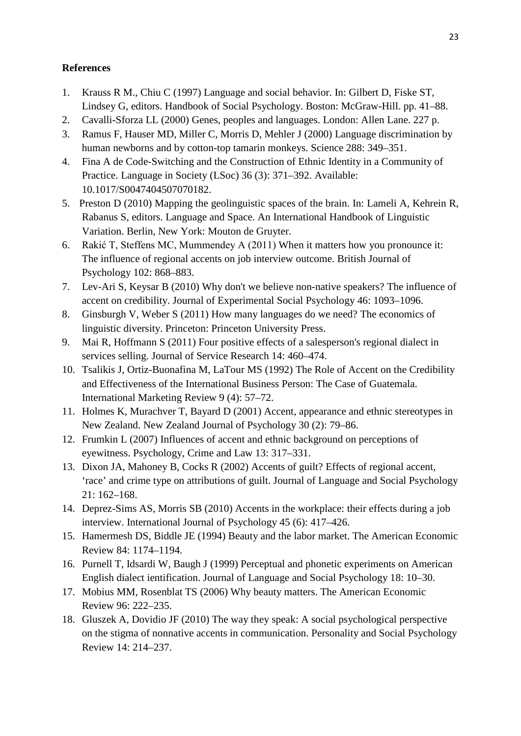#### **References**

- 1. Krauss R M., Chiu C (1997) Language and social behavior. In: Gilbert D, Fiske ST, Lindsey G, editors. Handbook of Social Psychology. Boston: McGraw-Hill. pp. 41–88.
- 2. Cavalli-Sforza LL (2000) Genes, peoples and languages. London: Allen Lane. 227 p.
- 3. Ramus F, Hauser MD, Miller C, Morris D, Mehler J (2000) Language discrimination by human newborns and by cotton-top tamarin monkeys. Science 288: 349–351.
- 4. Fina A de Code-Switching and the Construction of Ethnic Identity in a Community of Practice. Language in Society (LSoc) 36 (3): 371–392. Available: 10.1017/S0047404507070182.
- 5. Preston D (2010) Mapping the geolinguistic spaces of the brain. In: Lameli A, Kehrein R, Rabanus S, editors. Language and Space. An International Handbook of Linguistic Variation. Berlin, New York: Mouton de Gruyter.
- 6. Rakić T, Steffens MC, Mummendey A (2011) When it matters how you pronounce it: The influence of regional accents on job interview outcome. British Journal of Psychology 102: 868–883.
- 7. Lev-Ari S, Keysar B (2010) Why don't we believe non-native speakers? The influence of accent on credibility. Journal of Experimental Social Psychology 46: 1093–1096.
- 8. Ginsburgh V, Weber S (2011) How many languages do we need? The economics of linguistic diversity. Princeton: Princeton University Press.
- 9. Mai R, Hoffmann S (2011) Four positive effects of a salesperson's regional dialect in services selling. Journal of Service Research 14: 460–474.
- 10. Tsalikis J, Ortiz-Buonafina M, LaTour MS (1992) The Role of Accent on the Credibility and Effectiveness of the International Business Person: The Case of Guatemala. International Marketing Review 9 (4): 57–72.
- 11. Holmes K, Murachver T, Bayard D (2001) Accent, appearance and ethnic stereotypes in New Zealand. New Zealand Journal of Psychology 30 (2): 79–86.
- 12. Frumkin L (2007) Influences of accent and ethnic background on perceptions of eyewitness. Psychology, Crime and Law 13: 317–331.
- 13. Dixon JA, Mahoney B, Cocks R (2002) Accents of guilt? Effects of regional accent, 'race' and crime type on attributions of guilt. Journal of Language and Social Psychology 21: 162–168.
- 14. Deprez-Sims AS, Morris SB (2010) Accents in the workplace: their effects during a job interview. International Journal of Psychology 45 (6): 417–426.
- 15. Hamermesh DS, Biddle JE (1994) Beauty and the labor market. The American Economic Review 84: 1174–1194.
- 16. Purnell T, Idsardi W, Baugh J (1999) Perceptual and phonetic experiments on American English dialect ientification. Journal of Language and Social Psychology 18: 10–30.
- 17. Mobius MM, Rosenblat TS (2006) Why beauty matters. The American Economic Review 96: 222–235.
- 18. Gluszek A, Dovidio JF (2010) The way they speak: A social psychological perspective on the stigma of nonnative accents in communication. Personality and Social Psychology Review 14: 214–237.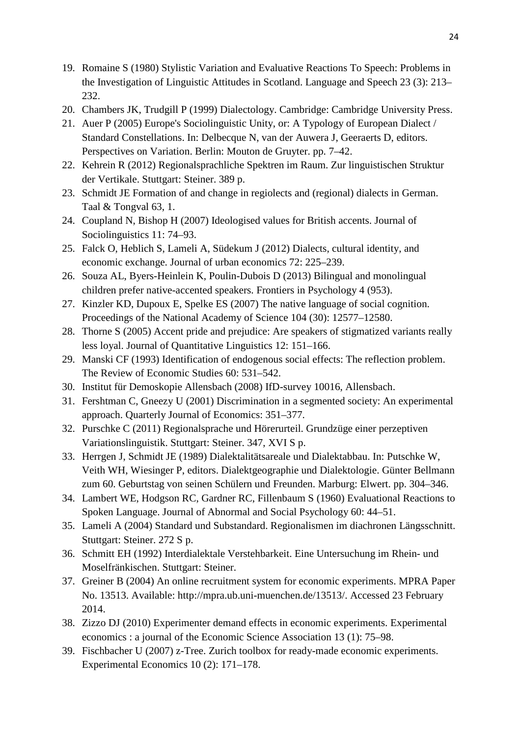- 19. Romaine S (1980) Stylistic Variation and Evaluative Reactions To Speech: Problems in the Investigation of Linguistic Attitudes in Scotland. Language and Speech 23 (3): 213– 232.
- 20. Chambers JK, Trudgill P (1999) Dialectology. Cambridge: Cambridge University Press.
- 21. Auer P (2005) Europe's Sociolinguistic Unity, or: A Typology of European Dialect / Standard Constellations. In: Delbecque N, van der Auwera J, Geeraerts D, editors. Perspectives on Variation. Berlin: Mouton de Gruyter. pp. 7–42.
- 22. Kehrein R (2012) Regionalsprachliche Spektren im Raum. Zur linguistischen Struktur der Vertikale. Stuttgart: Steiner. 389 p.
- 23. Schmidt JE Formation of and change in regiolects and (regional) dialects in German. Taal & Tongval 63, 1.
- 24. Coupland N, Bishop H (2007) Ideologised values for British accents. Journal of Sociolinguistics 11: 74–93.
- 25. Falck O, Heblich S, Lameli A, Südekum J (2012) Dialects, cultural identity, and economic exchange. Journal of urban economics 72: 225–239.
- 26. Souza AL, Byers-Heinlein K, Poulin-Dubois D (2013) Bilingual and monolingual children prefer native-accented speakers. Frontiers in Psychology 4 (953).
- 27. Kinzler KD, Dupoux E, Spelke ES (2007) The native language of social cognition. Proceedings of the National Academy of Science 104 (30): 12577–12580.
- 28. Thorne S (2005) Accent pride and prejudice: Are speakers of stigmatized variants really less loyal. Journal of Quantitative Linguistics 12: 151–166.
- 29. Manski CF (1993) Identification of endogenous social effects: The reflection problem. The Review of Economic Studies 60: 531–542.
- 30. Institut für Demoskopie Allensbach (2008) IfD-survey 10016, Allensbach.
- 31. Fershtman C, Gneezy U (2001) Discrimination in a segmented society: An experimental approach. Quarterly Journal of Economics: 351–377.
- 32. Purschke C (2011) Regionalsprache und Hörerurteil. Grundzüge einer perzeptiven Variationslinguistik. Stuttgart: Steiner. 347, XVI S p.
- 33. Herrgen J, Schmidt JE (1989) Dialektalitätsareale und Dialektabbau. In: Putschke W, Veith WH, Wiesinger P, editors. Dialektgeographie und Dialektologie. Günter Bellmann zum 60. Geburtstag von seinen Schülern und Freunden. Marburg: Elwert. pp. 304–346.
- 34. Lambert WE, Hodgson RC, Gardner RC, Fillenbaum S (1960) Evaluational Reactions to Spoken Language. Journal of Abnormal and Social Psychology 60: 44–51.
- 35. Lameli A (2004) Standard und Substandard. Regionalismen im diachronen Längsschnitt. Stuttgart: Steiner. 272 S p.
- 36. Schmitt EH (1992) Interdialektale Verstehbarkeit. Eine Untersuchung im Rhein- und Moselfränkischen. Stuttgart: Steiner.
- 37. Greiner B (2004) An online recruitment system for economic experiments. MPRA Paper No. 13513. Available: http://mpra.ub.uni-muenchen.de/13513/. Accessed 23 February 2014.
- 38. Zizzo DJ (2010) Experimenter demand effects in economic experiments. Experimental economics : a journal of the Economic Science Association 13 (1): 75–98.
- 39. Fischbacher U (2007) z-Tree. Zurich toolbox for ready-made economic experiments. Experimental Economics 10 (2): 171–178.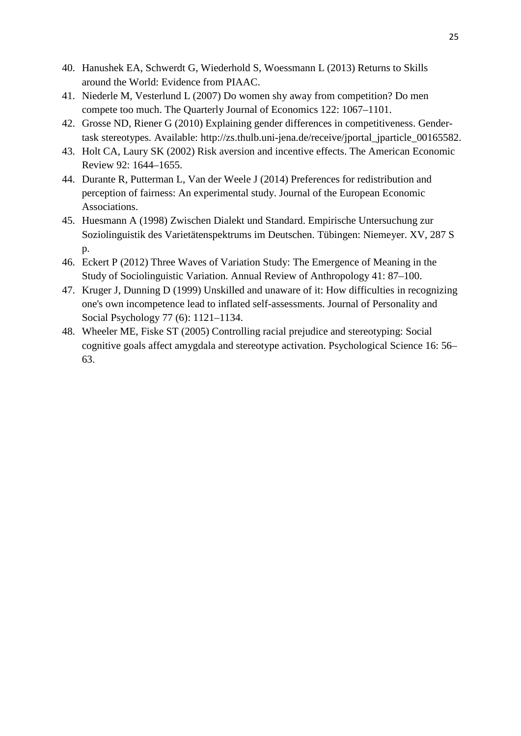- 40. Hanushek EA, Schwerdt G, Wiederhold S, Woessmann L (2013) Returns to Skills around the World: Evidence from PIAAC.
- 41. Niederle M, Vesterlund L (2007) Do women shy away from competition? Do men compete too much. The Quarterly Journal of Economics 122: 1067–1101.
- 42. Grosse ND, Riener G (2010) Explaining gender differences in competitiveness. Gendertask stereotypes. Available: http://zs.thulb.uni-jena.de/receive/jportal\_jparticle\_00165582.
- 43. Holt CA, Laury SK (2002) Risk aversion and incentive effects. The American Economic Review 92: 1644–1655.
- 44. Durante R, Putterman L, Van der Weele J (2014) Preferences for redistribution and perception of fairness: An experimental study. Journal of the European Economic Associations.
- 45. Huesmann A (1998) Zwischen Dialekt und Standard. Empirische Untersuchung zur Soziolinguistik des Varietätenspektrums im Deutschen. Tübingen: Niemeyer. XV, 287 S p.
- 46. Eckert P (2012) Three Waves of Variation Study: The Emergence of Meaning in the Study of Sociolinguistic Variation. Annual Review of Anthropology 41: 87–100.
- 47. Kruger J, Dunning D (1999) Unskilled and unaware of it: How difficulties in recognizing one's own incompetence lead to inflated self-assessments. Journal of Personality and Social Psychology 77 (6): 1121–1134.
- 48. Wheeler ME, Fiske ST (2005) Controlling racial prejudice and stereotyping: Social cognitive goals affect amygdala and stereotype activation. Psychological Science 16: 56– 63.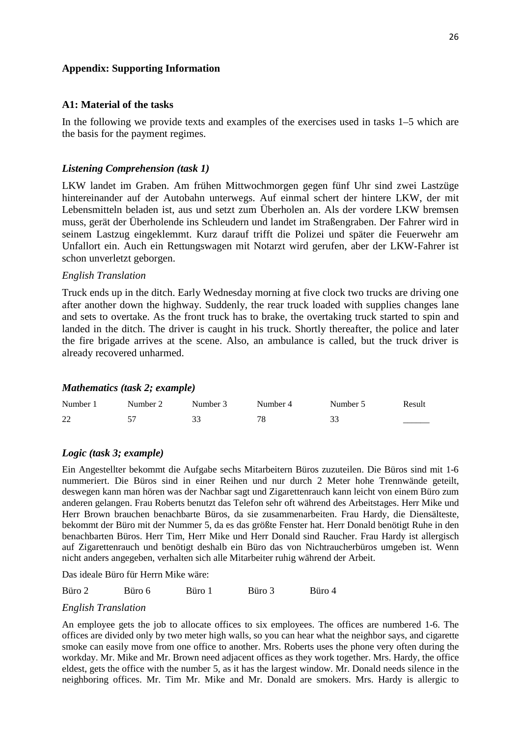#### **Appendix: Supporting Information**

#### **A1: Material of the tasks**

In the following we provide texts and examples of the exercises used in tasks 1–5 which are the basis for the payment regimes.

#### *Listening Comprehension (task 1)*

LKW landet im Graben. Am frühen Mittwochmorgen gegen fünf Uhr sind zwei Lastzüge hintereinander auf der Autobahn unterwegs. Auf einmal schert der hintere LKW, der mit Lebensmitteln beladen ist, aus und setzt zum Überholen an. Als der vordere LKW bremsen muss, gerät der Überholende ins Schleudern und landet im Straßengraben. Der Fahrer wird in seinem Lastzug eingeklemmt. Kurz darauf trifft die Polizei und später die Feuerwehr am Unfallort ein. Auch ein Rettungswagen mit Notarzt wird gerufen, aber der LKW-Fahrer ist schon unverletzt geborgen.

#### *English Translation*

Truck ends up in the ditch. Early Wednesday morning at five clock two trucks are driving one after another down the highway. Suddenly, the rear truck loaded with supplies changes lane and sets to overtake. As the front truck has to brake, the overtaking truck started to spin and landed in the ditch. The driver is caught in his truck. Shortly thereafter, the police and later the fire brigade arrives at the scene. Also, an ambulance is called, but the truck driver is already recovered unharmed.

#### *Mathematics (task 2; example)*

| Number 1 | Number 2 | Number 3 | Number 4 | Number 5 | Result |
|----------|----------|----------|----------|----------|--------|
| 22       |          |          | 70       |          |        |

#### *Logic (task 3; example)*

Ein Angestellter bekommt die Aufgabe sechs Mitarbeitern Büros zuzuteilen. Die Büros sind mit 1-6 nummeriert. Die Büros sind in einer Reihen und nur durch 2 Meter hohe Trennwände geteilt, deswegen kann man hören was der Nachbar sagt und Zigarettenrauch kann leicht von einem Büro zum anderen gelangen. Frau Roberts benutzt das Telefon sehr oft während des Arbeitstages. Herr Mike und Herr Brown brauchen benachbarte Büros, da sie zusammenarbeiten. Frau Hardy, die Diensälteste, bekommt der Büro mit der Nummer 5, da es das größte Fenster hat. Herr Donald benötigt Ruhe in den benachbarten Büros. Herr Tim, Herr Mike und Herr Donald sind Raucher. Frau Hardy ist allergisch auf Zigarettenrauch und benötigt deshalb ein Büro das von Nichtraucherbüros umgeben ist. Wenn nicht anders angegeben, verhalten sich alle Mitarbeiter ruhig während der Arbeit.

Das ideale Büro für Herrn Mike wäre:

| Büro 2 | Büro 6 | Büro 1 | Büro 3 | Büro 4 |
|--------|--------|--------|--------|--------|
|        |        |        |        |        |

#### *English Translation*

An employee gets the job to allocate offices to six employees. The offices are numbered 1-6. The offices are divided only by two meter high walls, so you can hear what the neighbor says, and cigarette smoke can easily move from one office to another. Mrs. Roberts uses the phone very often during the workday. Mr. Mike and Mr. Brown need adjacent offices as they work together. Mrs. Hardy, the office eldest, gets the office with the number 5, as it has the largest window. Mr. Donald needs silence in the neighboring offices. Mr. Tim Mr. Mike and Mr. Donald are smokers. Mrs. Hardy is allergic to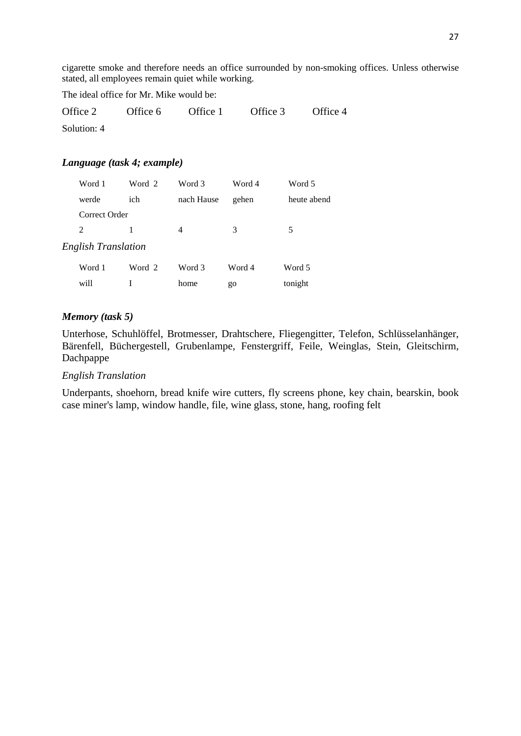cigarette smoke and therefore needs an office surrounded by non-smoking offices. Unless otherwise stated, all employees remain quiet while working.

The ideal office for Mr. Mike would be:

| Office 2    | Office 6 | Office 1 | Office 3 | Office 4 |
|-------------|----------|----------|----------|----------|
| Solution: 4 |          |          |          |          |

#### *Language (task 4; example)*

|                     | Word 1        | Word 2 | Word 3     | Word 4 | Word 5      |  |  |  |
|---------------------|---------------|--------|------------|--------|-------------|--|--|--|
|                     | werde         | ich    | nach Hause | gehen  | heute abend |  |  |  |
|                     | Correct Order |        |            |        |             |  |  |  |
|                     | 2             | 1      | 4          | 3      | 5           |  |  |  |
| English Translation |               |        |            |        |             |  |  |  |
|                     | Word 1        | Word 2 | Word 3     | Word 4 | Word 5      |  |  |  |
|                     | will          |        | home       | go     | tonight     |  |  |  |

#### *Memory (task 5)*

Unterhose, Schuhlöffel, Brotmesser, Drahtschere, Fliegengitter, Telefon, Schlüsselanhänger, Bärenfell, Büchergestell, Grubenlampe, Fenstergriff, Feile, Weinglas, Stein, Gleitschirm, Dachpappe

#### *English Translation*

Underpants, shoehorn, bread knife wire cutters, fly screens phone, key chain, bearskin, book case miner's lamp, window handle, file, wine glass, stone, hang, roofing felt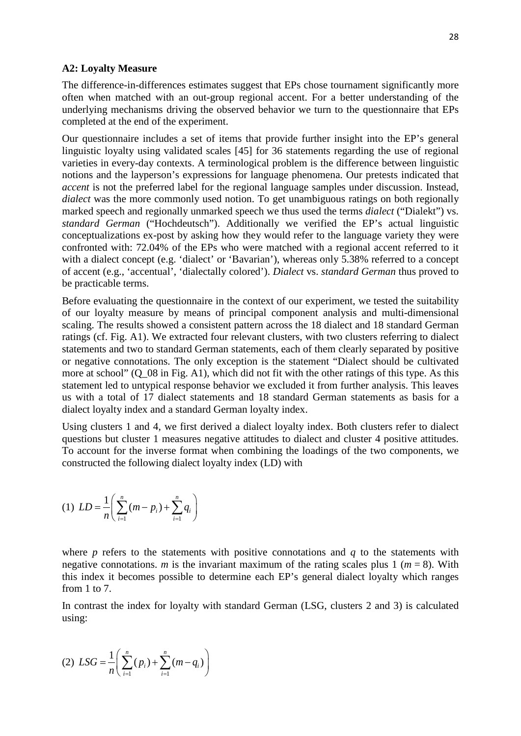#### **A2: Loyalty Measure**

The difference-in-differences estimates suggest that EPs chose tournament significantly more often when matched with an out-group regional accent. For a better understanding of the underlying mechanisms driving the observed behavior we turn to the questionnaire that EPs completed at the end of the experiment.

Our questionnaire includes a set of items that provide further insight into the EP's general linguistic loyalty using validated scales [45] for 36 statements regarding the use of regional varieties in every-day contexts. A terminological problem is the difference between linguistic notions and the layperson's expressions for language phenomena. Our pretests indicated that *accent* is not the preferred label for the regional language samples under discussion. Instead, *dialect* was the more commonly used notion. To get unambiguous ratings on both regionally marked speech and regionally unmarked speech we thus used the terms *dialect* ("Dialekt") vs. *standard German* ("Hochdeutsch"). Additionally we verified the EP's actual linguistic conceptualizations ex-post by asking how they would refer to the language variety they were confronted with: 72.04% of the EPs who were matched with a regional accent referred to it with a dialect concept (e.g. 'dialect' or 'Bavarian'), whereas only 5.38% referred to a concept of accent (e.g., 'accentual', 'dialectally colored'). *Dialect* vs. *standard German* thus proved to be practicable terms.

Before evaluating the questionnaire in the context of our experiment, we tested the suitability of our loyalty measure by means of principal component analysis and multi-dimensional scaling. The results showed a consistent pattern across the 18 dialect and 18 standard German ratings (cf. Fig. A1). We extracted four relevant clusters, with two clusters referring to dialect statements and two to standard German statements, each of them clearly separated by positive or negative connotations. The only exception is the statement "Dialect should be cultivated more at school" (Q\_08 in Fig. A1), which did not fit with the other ratings of this type. As this statement led to untypical response behavior we excluded it from further analysis. This leaves us with a total of 17 dialect statements and 18 standard German statements as basis for a dialect loyalty index and a standard German loyalty index.

Using clusters 1 and 4, we first derived a dialect loyalty index. Both clusters refer to dialect questions but cluster 1 measures negative attitudes to dialect and cluster 4 positive attitudes. To account for the inverse format when combining the loadings of the two components, we constructed the following dialect loyalty index (LD) with

(1) 
$$
LD = \frac{1}{n} \left( \sum_{i=1}^{n} (m - p_i) + \sum_{i=1}^{n} q_i \right)
$$

where  $p$  refers to the statements with positive connotations and  $q$  to the statements with negative connotations. *m* is the invariant maximum of the rating scales plus 1 ( $m = 8$ ). With this index it becomes possible to determine each EP's general dialect loyalty which ranges from 1 to 7.

In contrast the index for loyalty with standard German (LSG, clusters 2 and 3) is calculated using:

(2) 
$$
LSG = \frac{1}{n} \left( \sum_{i=1}^{n} (p_i) + \sum_{i=1}^{n} (m - q_i) \right)
$$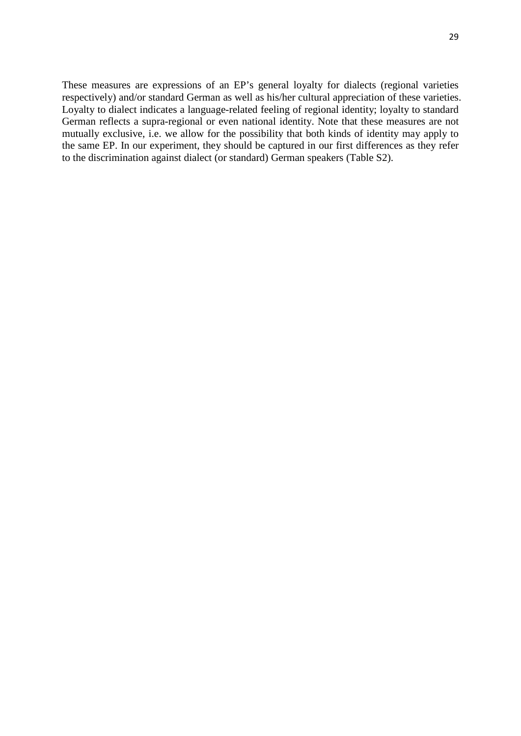These measures are expressions of an EP's general loyalty for dialects (regional varieties respectively) and/or standard German as well as his/her cultural appreciation of these varieties. Loyalty to dialect indicates a language-related feeling of regional identity; loyalty to standard German reflects a supra-regional or even national identity. Note that these measures are not mutually exclusive, i.e. we allow for the possibility that both kinds of identity may apply to the same EP. In our experiment, they should be captured in our first differences as they refer to the discrimination against dialect (or standard) German speakers (Table S2).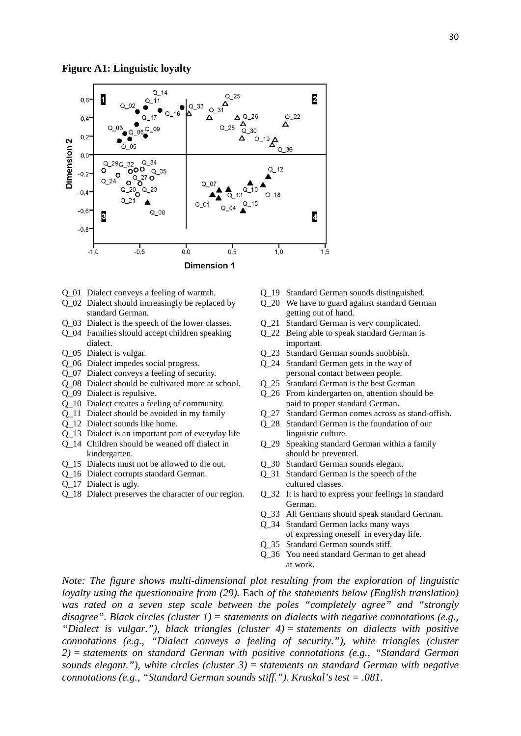

- Q\_01 Dialect conveys a feeling of warmth.
- Q\_02 Dialect should increasingly be replaced by standard German.
- Q\_03 Dialect is the speech of the lower classes.
- Q\_04 Families should accept children speaking
- Q\_05 Dialect is vulgar. dialect.
- Q\_06 Dialect impedes social progress.
- Q\_07 Dialect conveys a feeling of security.
- Q\_08 Dialect should be cultivated more at school.
- Q\_09 Dialect is repulsive.
- Q\_10 Dialect creates a feeling of community.
- Q\_11 Dialect should be avoided in my family
- Q\_12 Dialect sounds like home.
- Q\_13 Dialect is an important part of everyday life
- Q\_14 Children should be weaned off dialect in kindergarten.
- Q\_15 Dialects must not be allowed to die out.
- Q\_16 Dialect corrupts standard German.
- Q\_17 Dialect is ugly.
- Q\_18 Dialect preserves the character of our region.
- Q\_19 Standard German sounds distinguished.
- Q\_20 We have to guard against standard German getting out of hand.
- Q\_21 Standard German is very complicated.
- Q\_22 Being able to speak standard German is
- important.
- Q\_23 Standard German sounds snobbish.
- Q\_24 Standard German gets in the way of personal contact between people.
- Q\_25 Standard German is the best German
- Q\_26 From kindergarten on, attention should be paid to proper standard German.
- Q\_27 Standard German comes across as stand-offish.
- Q\_28 Standard German is the foundation of our linguistic culture.
- Q\_29 Speaking standard German within a family should be prevented.
- Q\_30 Standard German sounds elegant.
- Q\_31 Standard German is the speech of the cultured classes.
- Q\_32 It is hard to express your feelings in standard German.
- Q\_33 All Germans should speak standard German.
- Q\_34 Standard German lacks many ways
- of expressing oneself in everyday life.
- Q\_35 Standard German sounds stiff.
- Q\_36 You need standard German to get ahead
- at work. *Note: The figure shows multi-dimensional plot resulting from the exploration of linguistic loyalty using the questionnaire from (29).* Each *of the statements below (English translation) was rated on a seven step scale between the poles "completely agree" and "strongly disagree". Black circles (cluster 1) = statements on dialects with negative connotations (e.g., "Dialect is vulgar."), black triangles (cluster 4) = statements on dialects with positive connotations (e.g., "Dialect conveys a feeling of security."), white triangles (cluster 2) = statements on standard German with positive connotations (e.g., "Standard German sounds elegant."), white circles (cluster 3) = statements on standard German with negative connotations (e.g., "Standard German sounds stiff."). Kruskal's test = .081.*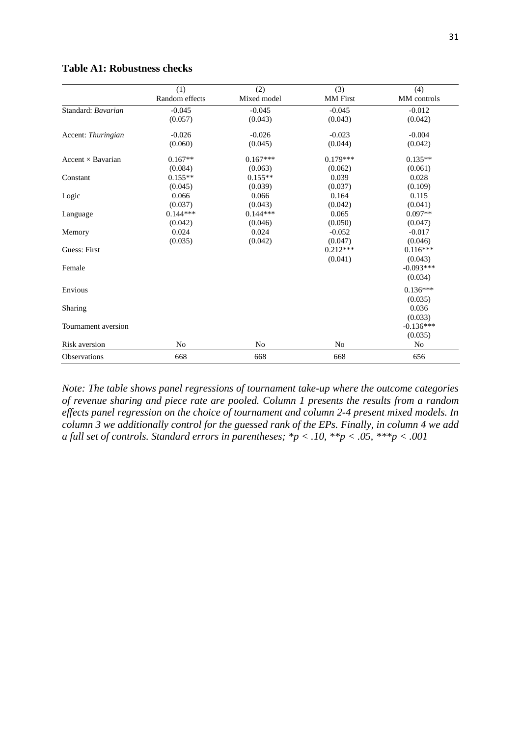|                          | (1)            | (2)         | (3)             | (4)         |
|--------------------------|----------------|-------------|-----------------|-------------|
|                          | Random effects | Mixed model | <b>MM</b> First | MM controls |
| Standard: Bavarian       | $-0.045$       | $-0.045$    | $-0.045$        | $-0.012$    |
|                          | (0.057)        | (0.043)     | (0.043)         | (0.042)     |
| Accent: Thuringian       | $-0.026$       | $-0.026$    | $-0.023$        | $-0.004$    |
|                          | (0.060)        | (0.045)     | (0.044)         | (0.042)     |
| Accent $\times$ Bavarian | $0.167**$      | $0.167***$  | $0.179***$      | $0.135**$   |
|                          | (0.084)        | (0.063)     | (0.062)         | (0.061)     |
| Constant                 | $0.155**$      | $0.155**$   | 0.039           | 0.028       |
|                          | (0.045)        | (0.039)     | (0.037)         | (0.109)     |
| Logic                    | 0.066          | 0.066       | 0.164           | 0.115       |
|                          | (0.037)        | (0.043)     | (0.042)         | (0.041)     |
| Language                 | $0.144***$     | $0.144***$  | 0.065           | $0.097**$   |
|                          | (0.042)        | (0.046)     | (0.050)         | (0.047)     |
| Memory                   | 0.024          | 0.024       | $-0.052$        | $-0.017$    |
|                          | (0.035)        | (0.042)     | (0.047)         | (0.046)     |
| Guess: First             |                |             | $0.212***$      | $0.116***$  |
|                          |                |             | (0.041)         | (0.043)     |
| Female                   |                |             |                 | $-0.093***$ |
|                          |                |             |                 | (0.034)     |
| Envious                  |                |             |                 | $0.136***$  |
|                          |                |             |                 | (0.035)     |
| Sharing                  |                |             |                 | 0.036       |
|                          |                |             |                 | (0.033)     |
| Tournament aversion      |                |             |                 | $-0.136***$ |
|                          |                |             |                 | (0.035)     |
| Risk aversion            | N <sub>0</sub> | No          | No              | No          |
| <b>Observations</b>      | 668            | 668         | 668             | 656         |

#### **Table A1: Robustness checks**

*Note: The table shows panel regressions of tournament take-up where the outcome categories of revenue sharing and piece rate are pooled. Column 1 presents the results from a random effects panel regression on the choice of tournament and column 2-4 present mixed models. In column 3 we additionally control for the guessed rank of the EPs. Finally, in column 4 we add a full set of controls. Standard errors in parentheses; \*p < .10, \*\*p < .05, \*\*\*p < .001*